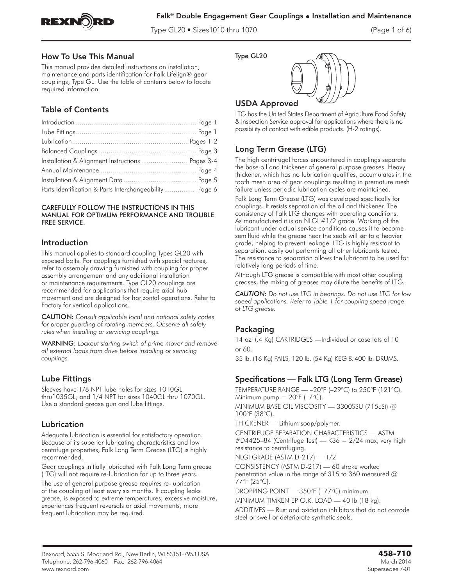

Type GL20 • Sizes1010 thru 1070 (Page 1 of 6)

### How To Use This Manual

This manual provides detailed instructions on installation, maintenance and parts identification for Falk Lifelign® gear couplings, Type GL. Use the table of contents below to locate required information.

# Table of Contents

| Installation & Alignment Instructions  Pages 3-4       |  |
|--------------------------------------------------------|--|
|                                                        |  |
|                                                        |  |
| Parts Identification & Parts Interchangeability Page 6 |  |

#### CAREFULLY FOLLOW THE INSTRUCTIONS IN THIS MANUAL FOR OPTIMUM PERFORMANCE AND TROUBLE FREE SERVICE.

### Introduction

This manual applies to standard coupling Types GL20 with exposed bolts. For couplings furnished with special features, refer to assembly drawing furnished with coupling for proper assembly arrangement and any additional installation or maintenance requirements. Type GL20 couplings are recommended for applications that require axial hub movement and are designed for horizontal operations. Refer to Factory for vertical applications.

CAUTION: *Consult applicable local and national safety codes for proper guarding of rotating members. Observe all safety rules when installing or servicing couplings.*

WARNING: *Lockout starting switch of prime mover and remove all external loads from drive before installing or servicing couplings.*

### Lube Fittings

Sleeves have 1/8 NPT lube holes for sizes 1010GL thru1035GL, and 1/4 NPT for sizes 1040GL thru 1070GL. Use a standard grease gun and lube fittings.

### Lubrication

Adequate lubrication is essential for satisfactory operation. Because of its superior lubricating characteristics and low centrifuge properties, Falk Long Term Grease (LTG) is highly recommended.

Gear couplings initially lubricated with Falk Long Term grease (LTG) will not require re-lubrication for up to three years.

The use of general purpose grease requires re-lubrication of the coupling at least every six months. If coupling leaks grease, is exposed to extreme temperatures, excessive moisture, experiences frequent reversals or axial movements; more frequent lubrication may be required.

Type GL20



## USDA Approved

LTG has the United States Department of Agriculture Food Safety & Inspection Service approval for applications where there is no possibility of contact with edible products. (H-2 ratings).

### Long Term Grease (LTG)

The high centrifugal forces encountered in couplings separate the base oil and thickener of general purpose greases. Heavy thickener, which has no lubrication qualities, accumulates in the tooth mesh area of gear couplings resulting in premature mesh failure unless periodic lubrication cycles are maintained.

Falk Long Term Grease (LTG) was developed specifically for couplings. It resists separation of the oil and thickener. The consistency of Falk LTG changes with operating conditions. As manufactured it is an NLGI #1/2 grade. Working of the lubricant under actual service conditions causes it to become semifluid while the grease near the seals will set to a heavier grade, helping to prevent leakage. LTG is highly resistant to separation, easily out performing all other lubricants tested. The resistance to separation allows the lubricant to be used for relatively long periods of time.

Although LTG grease is compatible with most other coupling greases, the mixing of greases may dilute the benefits of LTG.

*CAUTION: Do not use LTG in bearings. Do not use LTG for low speed applications. Refer to Table 1 for coupling speed range of LTG grease.*

# Packaging

14 oz. (.4 Kg) CARTRIDGES —Individual or case lots of 10 or 60.

35 lb. (16 Kg) PAILS, 120 lb. (54 Kg) KEG & 400 lb. DRUMS.

### Specifications — Falk LTG (Long Term Grease)

TEMPERATURE RANGE  $-$  -20°F (-29°C) to 250°F (121°C). Minimum pump  $= 20^{\circ}F (-7^{\circ}C)$ .

MINIMUM BASE OIL VISCOSITY — 3300SSU (715cSt) @ 100°F (38°C).

THICKENER — Lithium soap/polymer.

CENTRIFUGE SEPARATION CHARACTERISTICS — ASTM  $\#D4425-84$  (Centrifuge Test) — K36 = 2/24 max, very high resistance to centrifuging.

NLGI GRADE (ASTM D-217) — 1/2

CONSISTENCY (ASTM D-217) — 60 stroke worked penetration value in the range of 315 to 360 measured @ 77°F (25°C).

DROPPING POINT — 350°F (177°C) minimum.

MINIMUM TIMKEN EP O.K. LOAD — 40 lb (18 kg).

ADDITIVES — Rust and oxidation inhibitors that do not corrode steel or swell or deteriorate synthetic seals.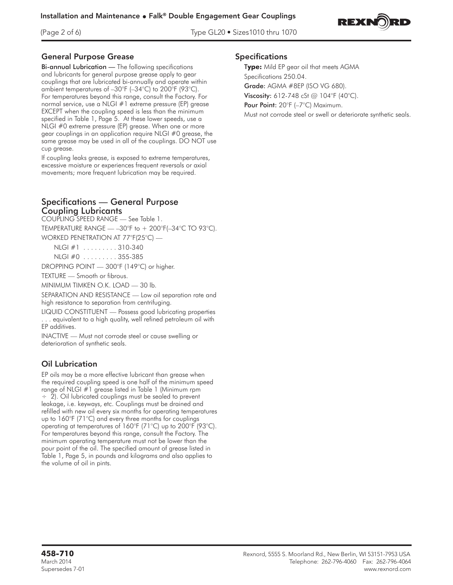(Page 2 of 6) Type GL20 • Sizes1010 thru 1070



### General Purpose Grease

Bi-annual Lubrication — The following specifications and lubricants for general purpose grease apply to gear couplings that are lubricated bi-annually and operate within ambient temperatures of –30°F (–34°C) to 200°F (93°C). For temperatures beyond this range, consult the Factory. For normal service, use a NLGI #1 extreme pressure (EP) grease EXCEPT when the coupling speed is less than the minimum specified in Table 1, Page 5. At these lower speeds, use a NLGI #0 extreme pressure (EP) grease. When one or more gear couplings in an application require NLGI #0 grease, the same grease may be used in all of the couplings. DO NOT use cup grease.

If coupling leaks grease, is exposed to extreme temperatures, excessive moisture or experiences frequent reversals or axial movements; more frequent lubrication may be required.

### Specifications — General Purpose Coupling Lubricants

COUPLING SPEED RANGE — See Table 1.

TEMPERATURE RANGE — –30°F to + 200°F(–34°C TO 93°C).

WORKED PENETRATION AT 77°F(25°C) —

- NLGI #1 . . . . . . . . . 310-340
- NLGI #0 . . . . . . . . . 355-385

DROPPING POINT — 300°F (149°C) or higher.

TEXTURE — Smooth or fibrous.

MINIMUM TIMKEN O.K. LOAD — 30 lb.

SEPARATION AND RESISTANCE — Low oil separation rate and high resistance to separation from centrifuging.

LIQUID CONSTITUENT — Possess good lubricating properties . . . equivalent to a high quality, well refined petroleum oil with EP additives.

INACTIVE — Must not corrode steel or cause swelling or deterioration of synthetic seals.

### Oil Lubrication

EP oils may be a more effective lubricant than grease when the required coupling speed is one half of the minimum speed range of NLGI #1 grease listed in Table 1 (Minimum rpm ÷ 2). Oil lubricated couplings must be sealed to prevent leakage, i.e. keyways, etc. Couplings must be drained and refilled with new oil every six months for operating temperatures up to 160°F (71°C) and every three months for couplings operating at temperatures of 160°F (71°C) up to 200°F (93°C). For temperatures beyond this range, consult the Factory. The minimum operating temperature must not be lower than the pour point of the oil. The specified amount of grease listed in Table 1, Page 5, in pounds and kilograms and also applies to the volume of oil in pints.

#### Specifications

T**ype:** Mild EP gear oil that meets AGMA Specifications 250.04.

Grade: AGMA #8EP (ISO VG 680).

**Viscosity:** 612-748 cSt @ 104°F (40°C).

Pour Point: 20°F (-7°C) Maximum.

Must not corrode steel or swell or deteriorate synthetic seals.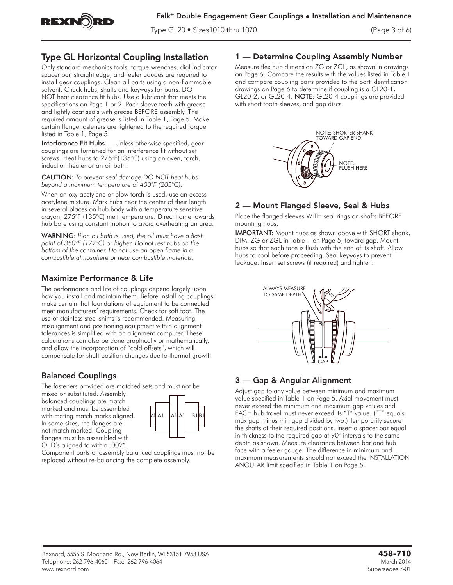

Type GL20 • Sizes1010 thru 1070 (Page 3 of 6)

# Type GL Horizontal Coupling Installation

Only standard mechanics tools, torque wrenches, dial indicator spacer bar, straight edge, and feeler gauges are required to install gear couplings. Clean all parts using a non-flammable solvent. Check hubs, shafts and keyways for burrs. DO NOT heat clearance fit hubs. Use a lubricant that meets the specifications on Page 1 or 2. Pack sleeve teeth with grease and lightly coat seals with grease BEFORE assembly. The required amount of grease is listed in Table 1, Page 5. Make certain flange fasteners are tightened to the required torque listed in Table 1, Page 5.

Interference Fit Hubs — Unless otherwise specified, gear couplings are furnished for an interference fit without set screws. Heat hubs to 275°F(135°C) using an oven, torch, induction heater or an oil bath.

CAUTION: *To prevent seal damage DO NOT heat hubs beyond a maximum temperature of 400°F (205°C).*

When an oxy-acetylene or blow torch is used, use an excess acetylene mixture. Mark hubs near the center of their length in several places on hub body with a temperature sensitive crayon, 275°F (135°C) melt temperature. Direct flame towards hub bore using constant motion to avoid overheating an area.

WARNING: *If an oil bath is used, the oil must have a flash point of 350°F (177°C) or higher. Do not rest hubs on the bottom of the container. Do not use an open flame in a combustible atmosphere or near combustible materials.*

## Maximize Performance & Life

The performance and life of couplings depend largely upon how you install and maintain them. Before installing couplings, make certain that foundations of equipment to be connected meet manufacturers' requirements. Check for soft foot. The use of stainless steel shims is recommended. Measuring misalignment and positioning equipment within alignment tolerances is simplified with an alignment computer. These calculations can also be done graphically or mathematically, and allow the incorporation of "cold offsets", which will compensate for shaft position changes due to thermal growth.

# Balanced Couplings

The fasteners provided are matched sets and must not be

mixed or substituted. Assembly balanced couplings are match marked and must be assembled with mating match marks aligned. In some sizes, the flanges are not match marked. Coupling flanges must be assembled with O. D's aligned to within .002".



Component parts of assembly balanced couplings must not be replaced without re-balancing the complete assembly.

## 1 — Determine Coupling Assembly Number

Measure flex hub dimension ZG or ZGL, as shown in drawings on Page 6. Compare the results with the values listed in Table 1 and compare coupling parts provided to the part identification drawings on Page 6 to determine if coupling is a GL20-1, GL20-2, or GL20-4. NOTE: GL20-4 couplings are provided with short tooth sleeves, and gap discs.



# 2 — Mount Flanged Sleeve, Seal & Hubs

Place the flanged sleeves WITH seal rings on shafts BEFORE mounting hubs.

IMPORTANT: Mount hubs as shown above with SHORT shank, DIM. ZG or ZGL in Table 1 on Page 5, toward gap. Mount hubs so that each face is flush with the end of its shaft. Allow hubs to cool before proceeding. Seal keyways to prevent leakage. Insert set screws (if required) and tighten.



# 3 — Gap & Angular Alignment

Adjust gap to any value between minimum and maximum value specified in Table 1 on Page 5. Axial movement must never exceed the minimum and maximum gap values and EACH hub travel must never exceed its "T" value. ("T" equals max gap minus min gap divided by two.) Temporarily secure the shafts at their required positions. Insert a spacer bar equal in thickness to the required gap at 90° intervals to the same depth as shown. Measure clearance between bar and hub face with a feeler gauge. The difference in minimum and maximum measurements should not exceed the INSTALLATION ANGULAR limit specified in Table 1 on Page 5.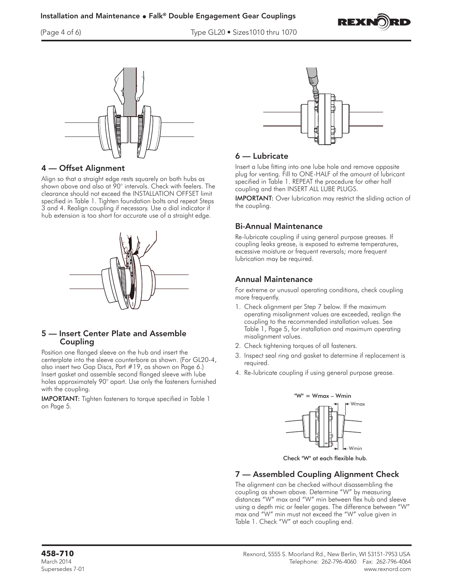

(Page 4 of 6) Type GL20 • Sizes1010 thru 1070



## 4 — Offset Alignment

Align so that a straight edge rests squarely on both hubs as shown above and also at 90° intervals. Check with feelers. The clearance should not exceed the INSTALLATION OFFSET limit specified in Table 1. Tighten foundation bolts and repeat Steps 3 and 4. Realign coupling if necessary. Use a dial indicator if hub extension is too short for accurate use of a straight edge.



### 5 — Insert Center Plate and Assemble Coupling

Position one flanged sleeve on the hub and insert the centerplate into the sleeve counterbore as shown. (For GL20-4, also insert two Gap Discs, Part #19, as shown on Page 6.) Insert gasket and assemble second flanged sleeve with lube holes approximately 90° apart. Use only the fasteners furnished with the coupling.

IMPORTANT: Tighten fasteners to torque specified in Table 1 on Page 5.



### 6 — Lubricate

Insert a lube fitting into one lube hole and remove opposite plug for venting. Fill to ONE-HALF of the amount of lubricant specified in Table 1. REPEAT the procedure for other half coupling and then INSERT ALL LUBE PLUGS.

IMPORTANT: Over lubrication may restrict the sliding action of the coupling.

### Bi-Annual Maintenance

Re-lubricate coupling if using general purpose greases. If coupling leaks grease, is exposed to extreme temperatures, excessive moisture or frequent reversals; more frequent lubrication may be required.

# Annual Maintenance

For extreme or unusual operating conditions, check coupling more frequently.

- 1. Check alignment per Step 7 below. If the maximum operating misalignment values are exceeded, realign the coupling to the recommended installation values. See Table 1, Page 5, for installation and maximum operating misalignment values.
- 2. Check tightening torques of all fasteners.
- 3. Inspect seal ring and gasket to determine if replacement is required.
- 4. Re-lubricate coupling if using general purpose grease.



Check "W" at each flexible hub.

# 7 — Assembled Coupling Alignment Check

The alignment can be checked without disassembling the coupling as shown above. Determine "W" by measuring distances "W" max and "W" min between flex hub and sleeve using a depth mic or feeler gages. The difference between "W" max and "W" min must not exceed the "W" value given in Table 1. Check "W" at each coupling end.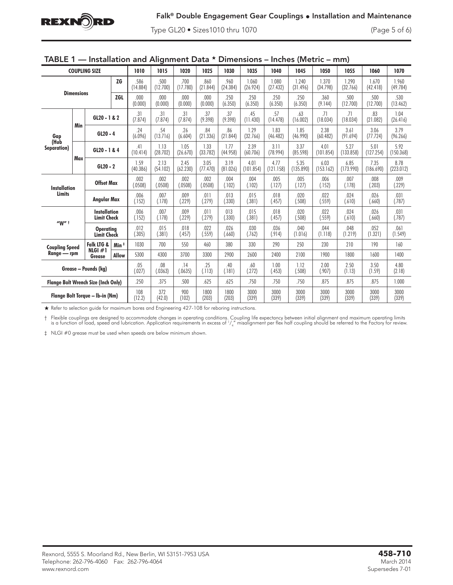

Type GL20 • Sizes1010 thru 1070 (Page 5 of 6)

| TABLE 1 - Installation and Alignment Data * Dimensions - Inches (Metric - mm) |  |  |  |
|-------------------------------------------------------------------------------|--|--|--|
|-------------------------------------------------------------------------------|--|--|--|

| <b>COUPLING SIZE</b>                       |     | 1010                                      | 1015             | 1020             | 1025             | 1030             | 1035             | 1040              | 1045              | 1050              | 1055              | 1060              | 1070              |                   |                   |
|--------------------------------------------|-----|-------------------------------------------|------------------|------------------|------------------|------------------|------------------|-------------------|-------------------|-------------------|-------------------|-------------------|-------------------|-------------------|-------------------|
| <b>ZG</b>                                  |     |                                           | .586<br>(14.884) | .500<br>(12.700) | .700<br>(17.780) | .860<br>(21.844) | .960<br>(24.384) | 1.060<br>(26.924) | 1.080<br>(27.432) | 1.240<br>(31.496) | 1.370<br>(34.798) | 1.290<br>(32.766) | 1.670<br>(42.418) | 1.960<br>(49.784) |                   |
| <b>Dimensions</b><br><b>ZGL</b>            |     | .000<br>(0.000)                           | .000<br>(0.000)  | .000<br>(0.000)  | .000<br>(0.000)  | .250<br>(6.350)  | .250<br>(6.350)  | .250<br>(6.350)   | .250<br>(6.350)   | .360<br>(9.144)   | .500<br>(12.700)  | .500<br>(12.700)  | .530<br>(13.462)  |                   |                   |
| Gap<br>(Hub<br>Separation)                 |     | GL20 - 1 & 2                              |                  | .31<br>(7.874)   | .31<br>(7.874)   | .31<br>(7.874)   | .37<br>(9.398)   | .37<br>(9.398)    | .45<br>(11.430)   | .57<br>(14.478)   | .63<br>(16.002)   | .71<br>(18.034)   | .71<br>(18.034)   | .83<br>(21.082)   | 1.04<br>(26.416)  |
|                                            | Min | $GL20 - 4$                                |                  | .24<br>(6.096)   | .54<br>(13.716)  | .26<br>(6.604)   | .84<br>(21.336)  | .86<br>(21.844)   | 1.29<br>(32.766)  | 1.83<br>(46.482)  | 1.85<br>(46.990)  | 2.38<br>(60.482)  | 3.61<br>(91.694)  | 3.06<br>(77.724)  | 3.79<br>(96.266)  |
|                                            |     | GL20 - 1 & 4                              |                  | .41<br>(10.414)  | 1.13<br>(28.702) | 1.05<br>(26.670) | 1.33<br>(33.782) | 1.77<br>(44.958)  | 2.39<br>(60.706)  | 3.11<br>(78.994)  | 3.37<br>(85.598)  | 4.01<br>(101.854) | 5.27<br>(133.858) | 5.01<br>(127.254) | 5.92<br>(150.368) |
|                                            | Max | $GL20 - 2$                                |                  | 1.59<br>(40.386) | 2.13<br>(54.102) | 2.45<br>(62.230) | 3.05<br>(77.470) | 3.19<br>(81.026)  | 4.01<br>(101.854) | 4.77<br>(121.158) | 5.35<br>(135.890) | 6.03<br>(153.162) | 6.85<br>(173.990) | 7.35<br>(186.690) | 8.78<br>(223.012) |
| <b>Installation</b><br><b>Limits</b>       |     | <b>Offset Max</b><br>Angular Max          |                  | .002<br>(.0508)  | .002<br>(.0508)  | .002<br>(.0508)  | .002<br>(.0508)  | .004<br>(.102)    | .004<br>(.102)    | .005<br>(.127)    | .005<br>(.127)    | .006<br>(.152)    | .007<br>(.178)    | .008<br>(.203)    | .009<br>(.229)    |
|                                            |     |                                           |                  | .006<br>(.152)   | .007<br>(.178)   | .009<br>(.229)   | .011<br>(.279)   | .013<br>(.330)    | .015<br>(.381)    | .018<br>(.457)    | .020<br>(.508)    | .022<br>(.559)    | .024<br>(.610)    | .026<br>(.660)    | .031<br>(.787)    |
| $''W''$ t                                  |     | <b>Installation</b><br><b>Limit Check</b> |                  | .006<br>(.152)   | .007<br>(.178)   | .009<br>(.229)   | .011<br>(.279)   | 013<br>(.330)     | .015<br>(.381)    | .018<br>(.457)    | .020<br>(.508)    | .022<br>(.559)    | .024<br>(.610)    | .026<br>(.660)    | .031<br>(.787)    |
|                                            |     | <b>Operating</b><br><b>Limit Check</b>    |                  | .012<br>(.305)   | .015<br>(.381)   | .018<br>(.457)   | .022<br>(.559)   | .026<br>(.660)    | .030<br>(762)     | .036<br>(.914)    | .040<br>(1.016)   | .044<br>(1.118)   | .048<br>(1.219)   | .052<br>(1.321)   | .061<br>(1.549)   |
| <b>Coupling Speed</b><br>Range — rpm       |     | <b>Falk LTG &amp;</b>                     | Min <sup>#</sup> | 1030             | 700              | 550              | 460              | 380               | 330               | 290               | 250               | 230               | 210               | 190               | 160               |
|                                            |     | NLGI $#1$<br>Grease                       | <b>Allow</b>     | 5300             | 4300             | 3700             | 3300             | 2900              | 2600              | 2400              | 2100              | 1900              | 1800              | 1600              | 1400              |
| Grease - Pounds (kg)                       |     | .05<br>(.027)                             | .08<br>(.0363)   | .14<br>(.0635)   | .25<br>(.113)    | .40<br>(.181)    | .60<br>(.272)    | 1.00<br>(.453)    | 1.12<br>(.508)    | 2.00<br>(.907)    | 2.50<br>(1.13)    | 3.50<br>(1.59)    | 4.80<br>(2.18)    |                   |                   |
| <b>Flange Bolt Wrench Size (Inch Only)</b> |     | .250                                      | .375             | .500             | .625             | .625             | .750             | .750              | .750              | .875              | .875              | .875              | 1.000             |                   |                   |
| Flange Bolt Torque — Ib-in (Nm)            |     | 108<br>(12.2)                             | 372<br>(42.0)    | 900<br>(102)     | 1800<br>(203)    | 1800<br>(203)    | 3000<br>(339)    | 3000<br>(339)     | 3000<br>(339)     | 3000<br>(339)     | 3000<br>(339)     | 3000<br>(339)     | 3000<br>(339)     |                   |                   |

\* Refer to selection guide for maximum bores and Engineering 427-108 for reboring instructions.

† Flexible couplings are designed to accommodate changes in operating conditions. Coupling life expectancy between initial alignment and maximum operating limits is a function of load, speed and lubrication. Application r

‡ NLGI #0 grease must be used when speeds are below minimum shown.